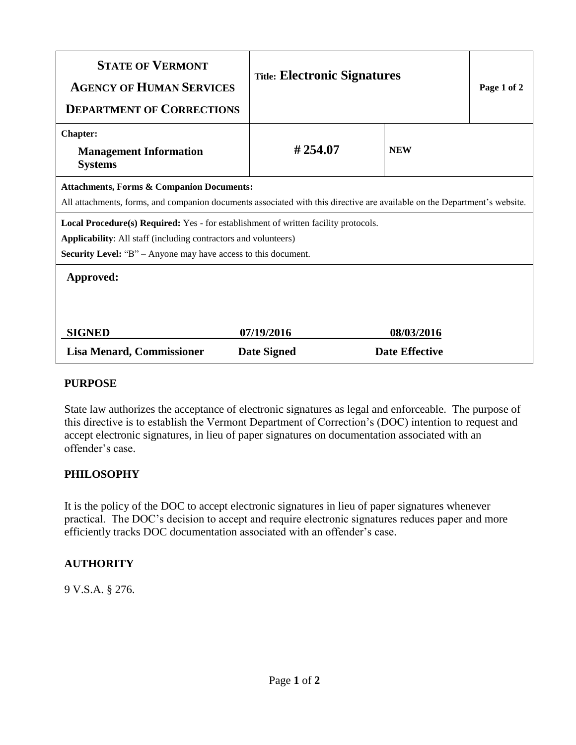| <b>STATE OF VERMONT</b><br><b>AGENCY OF HUMAN SERVICES</b><br><b>DEPARTMENT OF CORRECTIONS</b>                                                                                                                                                                                                                                              | <b>Title: Electronic Signatures</b> |                                     | Page 1 of 2 |
|---------------------------------------------------------------------------------------------------------------------------------------------------------------------------------------------------------------------------------------------------------------------------------------------------------------------------------------------|-------------------------------------|-------------------------------------|-------------|
| <b>Chapter:</b><br><b>Management Information</b><br><b>Systems</b>                                                                                                                                                                                                                                                                          | #254.07                             | <b>NEW</b>                          |             |
| <b>Attachments, Forms &amp; Companion Documents:</b><br>All attachments, forms, and companion documents associated with this directive are available on the Department's website.<br>Local Procedure(s) Required: Yes - for establishment of written facility protocols.<br>Applicability: All staff (including contractors and volunteers) |                                     |                                     |             |
| <b>Security Level:</b> "B" – Anyone may have access to this document.<br>Approved:                                                                                                                                                                                                                                                          |                                     |                                     |             |
| <b>SIGNED</b><br><b>Lisa Menard, Commissioner</b>                                                                                                                                                                                                                                                                                           | 07/19/2016<br><b>Date Signed</b>    | 08/03/2016<br><b>Date Effective</b> |             |

## **PURPOSE**

State law authorizes the acceptance of electronic signatures as legal and enforceable. The purpose of this directive is to establish the Vermont Department of Correction's (DOC) intention to request and accept electronic signatures, in lieu of paper signatures on documentation associated with an offender's case.

## **PHILOSOPHY**

It is the policy of the DOC to accept electronic signatures in lieu of paper signatures whenever practical. The DOC's decision to accept and require electronic signatures reduces paper and more efficiently tracks DOC documentation associated with an offender's case.

## **AUTHORITY**

9 V.S.A. § 276.